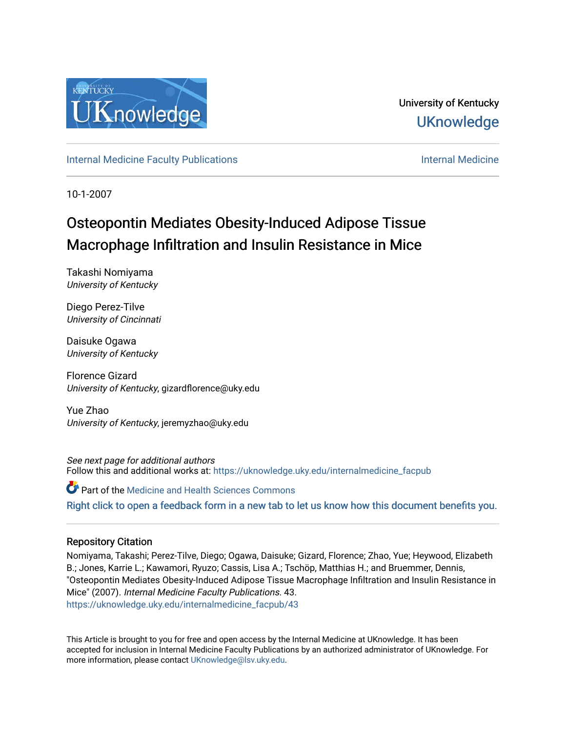

# University of Kentucky **UKnowledge**

[Internal Medicine Faculty Publications](https://uknowledge.uky.edu/internalmedicine_facpub) **Internal Medicine** Internal Medicine

10-1-2007

# Osteopontin Mediates Obesity-Induced Adipose Tissue Macrophage Infiltration and Insulin Resistance in Mice

Takashi Nomiyama University of Kentucky

Diego Perez-Tilve University of Cincinnati

Daisuke Ogawa University of Kentucky

Florence Gizard University of Kentucky, gizardflorence@uky.edu

Yue Zhao University of Kentucky, jeremyzhao@uky.edu

See next page for additional authors Follow this and additional works at: [https://uknowledge.uky.edu/internalmedicine\\_facpub](https://uknowledge.uky.edu/internalmedicine_facpub?utm_source=uknowledge.uky.edu%2Finternalmedicine_facpub%2F43&utm_medium=PDF&utm_campaign=PDFCoverPages) 

Part of the [Medicine and Health Sciences Commons](http://network.bepress.com/hgg/discipline/648?utm_source=uknowledge.uky.edu%2Finternalmedicine_facpub%2F43&utm_medium=PDF&utm_campaign=PDFCoverPages) 

[Right click to open a feedback form in a new tab to let us know how this document benefits you.](https://uky.az1.qualtrics.com/jfe/form/SV_9mq8fx2GnONRfz7)

# Repository Citation

Nomiyama, Takashi; Perez-Tilve, Diego; Ogawa, Daisuke; Gizard, Florence; Zhao, Yue; Heywood, Elizabeth B.; Jones, Karrie L.; Kawamori, Ryuzo; Cassis, Lisa A.; Tschöp, Matthias H.; and Bruemmer, Dennis, "Osteopontin Mediates Obesity-Induced Adipose Tissue Macrophage Infiltration and Insulin Resistance in Mice" (2007). Internal Medicine Faculty Publications. 43. [https://uknowledge.uky.edu/internalmedicine\\_facpub/43](https://uknowledge.uky.edu/internalmedicine_facpub/43?utm_source=uknowledge.uky.edu%2Finternalmedicine_facpub%2F43&utm_medium=PDF&utm_campaign=PDFCoverPages)

This Article is brought to you for free and open access by the Internal Medicine at UKnowledge. It has been accepted for inclusion in Internal Medicine Faculty Publications by an authorized administrator of UKnowledge. For more information, please contact [UKnowledge@lsv.uky.edu](mailto:UKnowledge@lsv.uky.edu).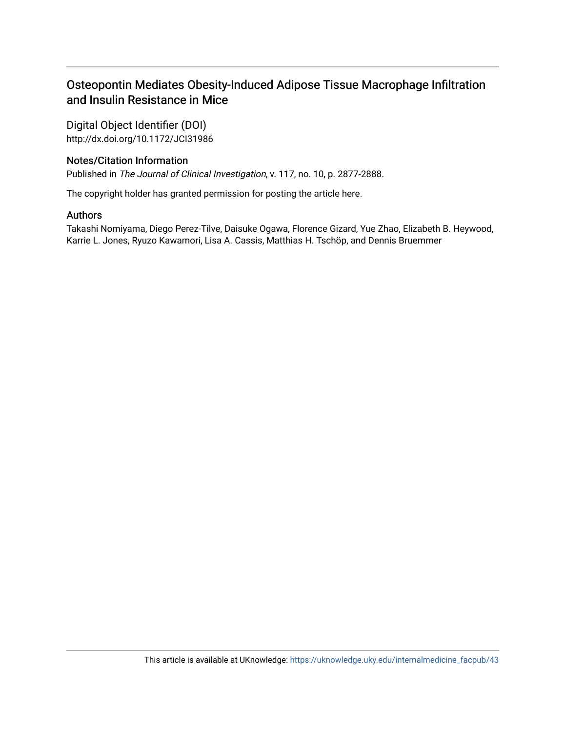# Osteopontin Mediates Obesity-Induced Adipose Tissue Macrophage Infiltration and Insulin Resistance in Mice

Digital Object Identifier (DOI) http://dx.doi.org/10.1172/JCI31986

# Notes/Citation Information

Published in The Journal of Clinical Investigation, v. 117, no. 10, p. 2877-2888.

The copyright holder has granted permission for posting the article here.

# Authors

Takashi Nomiyama, Diego Perez-Tilve, Daisuke Ogawa, Florence Gizard, Yue Zhao, Elizabeth B. Heywood, Karrie L. Jones, Ryuzo Kawamori, Lisa A. Cassis, Matthias H. Tschöp, and Dennis Bruemmer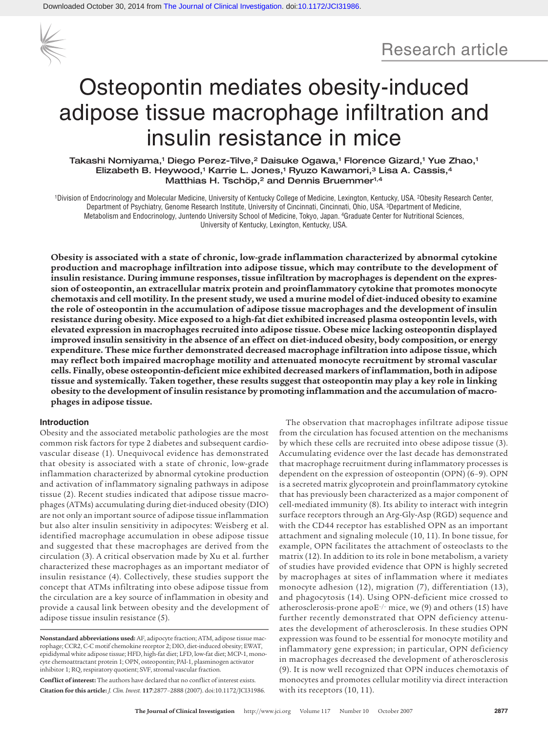

# Osteopontin mediates obesity-induced adipose tissue macrophage infiltration and insulin resistance in mice

Takashi Nomiyama,<sup>1</sup> Diego Perez-Tilve,<sup>2</sup> Daisuke Ogawa,<sup>1</sup> Florence Gizard,<sup>1</sup> Yue Zhao,<sup>1</sup> Elizabeth B. Heywood,<sup>1</sup> Karrie L. Jones,<sup>1</sup> Ryuzo Kawamori,<sup>3</sup> Lisa A. Cassis,<sup>4</sup> Matthias H. Tschöp,<sup>2</sup> and Dennis Bruemmer<sup>1,4</sup>

1Division of Endocrinology and Molecular Medicine, University of Kentucky College of Medicine, Lexington, Kentucky, USA. 2Obesity Research Center, Department of Psychiatry, Genome Research Institute, University of Cincinnati, Cincinnati, Ohio, USA. 3Department of Medicine, Metabolism and Endocrinology, Juntendo University School of Medicine, Tokyo, Japan. 4Graduate Center for Nutritional Sciences, University of Kentucky, Lexington, Kentucky, USA.

**Obesity is associated with a state of chronic, low-grade inflammation characterized by abnormal cytokine production and macrophage infiltration into adipose tissue, which may contribute to the development of insulin resistance. During immune responses, tissue infiltration by macrophages is dependent on the expression of osteopontin, an extracellular matrix protein and proinflammatory cytokine that promotes monocyte** chemotaxis and cell motility. In the present study, we used a murine model of diet-induced obesity to examine **the role of osteopontin in the accumulation of adipose tissue macrophages and the development of insulin resistance during obesity. Mice exposed to a high-fat diet exhibited increased plasma osteopontin levels, with elevated expression in macrophages recruited into adipose tissue. Obese mice lacking osteopontin displayed improved insulin sensitivity in the absence of an effect on diet-induced obesity, body composition, or energy expenditure. These mice further demonstrated decreased macrophage infiltration into adipose tissue, which may reflect both impaired macrophage motility and attenuated monocyte recruitment by stromal vascular cells. Finally, obese osteopontin-deficient mice exhibited decreased markers ofinflammation, both in adipose** tissue and systemically. Taken together, these results suggest that osteopontin may play a key role in linking **obesity to the development ofinsulin resistance by promoting inflammation and the accumulation of macrophages in adipose tissue.**

### **Introduction**

Obesity and the associated metabolic pathologies are the most common risk factors for type 2 diabetes and subsequent cardiovascular disease (1). Unequivocal evidence has demonstrated that obesity is associated with a state of chronic, low-grade inflammation characterized by abnormal cytokine production and activation of inflammatory signaling pathways in adipose tissue (2). Recent studies indicated that adipose tissue macrophages (ATMs) accumulating during diet-induced obesity (DIO) are not only an important source of adipose tissue inflammation but also alter insulin sensitivity in adipocytes: Weisberg et al. identified macrophage accumulation in obese adipose tissue and suggested that these macrophages are derived from the circulation (3). A critical observation made by Xu et al. further characterized these macrophages as an important mediator of insulin resistance (4). Collectively, these studies support the concept that ATMs infiltrating into obese adipose tissue from the circulation are a key source of inflammation in obesity and provide a causal link between obesity and the development of adipose tissue insulin resistance (5).

**Conflict of interest:** The authors have declared that no conflict of interest exists. **Citation for this article:** *J. Clin. Invest.* **117**:2877–2888 (2007). doi:10.1172/JCI31986.

The observation that macrophages infiltrate adipose tissue from the circulation has focused attention on the mechanisms by which these cells are recruited into obese adipose tissue (3). Accumulating evidence over the last decade has demonstrated that macrophage recruitment during inflammatory processes is dependent on the expression of osteopontin (OPN) (6–9). OPN is a secreted matrix glycoprotein and proinflammatory cytokine that has previously been characterized as a major component of cell-mediated immunity (8). Its ability to interact with integrin surface receptors through an Arg-Gly-Asp (RGD) sequence and with the CD44 receptor has established OPN as an important attachment and signaling molecule (10, 11). In bone tissue, for example, OPN facilitates the attachment of osteoclasts to the matrix (12). In addition to its role in bone metabolism, a variety of studies have provided evidence that OPN is highly secreted by macrophages at sites of inflammation where it mediates monocyte adhesion (12), migration (7), differentiation (13), and phagocytosis (14). Using OPN-deficient mice crossed to atherosclerosis-prone apo $E^{-/-}$  mice, we (9) and others (15) have further recently demonstrated that OPN deficiency attenuates the development of atherosclerosis. In these studies OPN expression was found to be essential for monocyte motility and inflammatory gene expression; in particular, OPN deficiency in macrophages decreased the development of atherosclerosis (9). It is now well recognized that OPN induces chemotaxis of monocytes and promotes cellular motility via direct interaction with its receptors (10, 11).

**Nonstandard abbreviations used:** AF, adipocyte fraction; ATM, adipose tissue macrophage; CCR2, C-C motif chemokine receptor 2; DIO, diet-induced obesity; EWAT, epididymal white adipose tissue; HFD, high-fat diet; LFD, low-fat diet; MCP-1, monocyte chemoattractant protein 1; OPN, osteopontin; PAI-1, plasminogen activator inhibitor 1; RQ, respiratory quotient; SVF, stromal vascular fraction.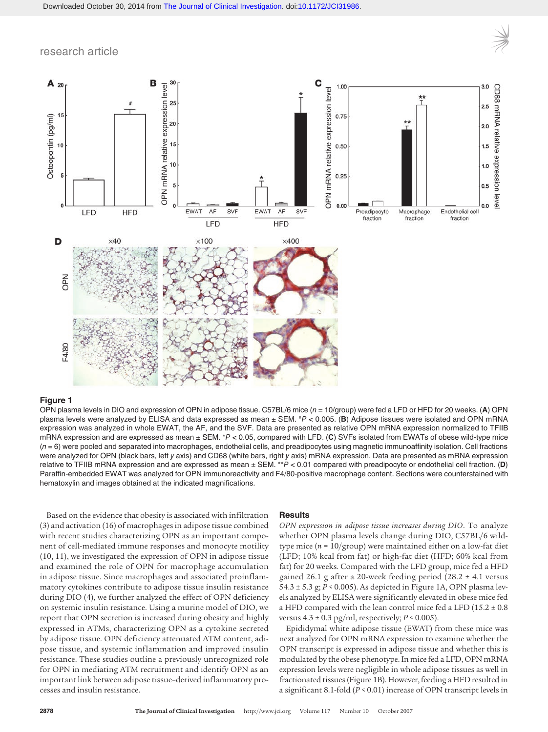



### **Figure 1**

OPN plasma levels in DIO and expression of OPN in adipose tissue. C57BL/6 mice (n = 10/group) were fed a LFD or HFD for 20 weeks. (**A**) OPN plasma levels were analyzed by ELISA and data expressed as mean ± SEM. #P < 0.005. (**B**) Adipose tissues were isolated and OPN mRNA expression was analyzed in whole EWAT, the AF, and the SVF. Data are presented as relative OPN mRNA expression normalized to TFIIB mRNA expression and are expressed as mean ± SEM. \*P < 0.05, compared with LFD. (C) SVFs isolated from EWATs of obese wild-type mice  $(n = 6)$  were pooled and separated into macrophages, endothelial cells, and preadipocytes using magnetic immunoaffinity isolation. Cell fractions were analyzed for OPN (black bars, left y axis) and CD68 (white bars, right y axis) mRNA expression. Data are presented as mRNA expression relative to TFIIB mRNA expression and are expressed as mean ± SEM. \*\*P < 0.01 compared with preadipocyte or endothelial cell fraction. (**D**) Paraffin-embedded EWAT was analyzed for OPN immunoreactivity and F4/80-positive macrophage content. Sections were counterstained with hematoxylin and images obtained at the indicated magnifications.

Based on the evidence that obesity is associated with infiltration  $(3)$  and activation  $(16)$  of macrophages in adipose tissue combined with recent studies characterizing OPN as an important component of cell-mediated immune responses and monocyte motility (10, 11), we investigated the expression of OPN in adipose tissue and examined the role of OPN for macrophage accumulation in adipose tissue. Since macrophages and associated proinflammatory cytokines contribute to adipose tissue insulin resistance during DIO (4), we further analyzed the effect of OPN deficiency on systemic insulin resistance. Using a murine model of DIO, we report that OPN secretion is increased during obesity and highly expressed in ATMs, characterizing OPN as a cytokine secreted by adipose tissue. OPN deficiency attenuated ATM content, adipose tissue, and systemic inflammation and improved insulin resistance. These studies outline a previously unrecognized role for OPN in mediating ATM recruitment and identify OPN as an important link between adipose tissue–derived inflammatory processes and insulin resistance.

### **Results**

*OPN expression in adipose tissue increases during DIO*. To analyze whether OPN plasma levels change during DIO, C57BL/6 wildtype mice (*n* = 10/group) were maintained either on a low-fat diet (LFD; 10% kcal from fat) or high-fat diet (HFD; 60% kcal from fat) for 20 weeks. Compared with the LFD group, mice fed a HFD gained 26.1 g after a 20-week feeding period (28.2 ± 4.1 versus 54.3 ± 5.3 g; *P <* 0.005). As depicted in Figure 1A, OPN plasma levels analyzed by ELISA were significantly elevated in obese mice fed a HFD compared with the lean control mice fed a LFD ( $15.2 \pm 0.8$ ) versus  $4.3 \pm 0.3$  pg/ml, respectively;  $P \le 0.005$ ).

Epididymal white adipose tissue (EWAT) from these mice was next analyzed for OPN mRNA expression to examine whether the OPN transcript is expressed in adipose tissue and whether this is modulated by the obese phenotype.In mice fed a LFD, OPN mRNA expression levels were negligible in whole adipose tissues as well in fractionated tissues (Figure 1B). However, feeding a HFD resulted in a significant 8.1-fold (*P <* 0.01) increase of OPN transcript levels in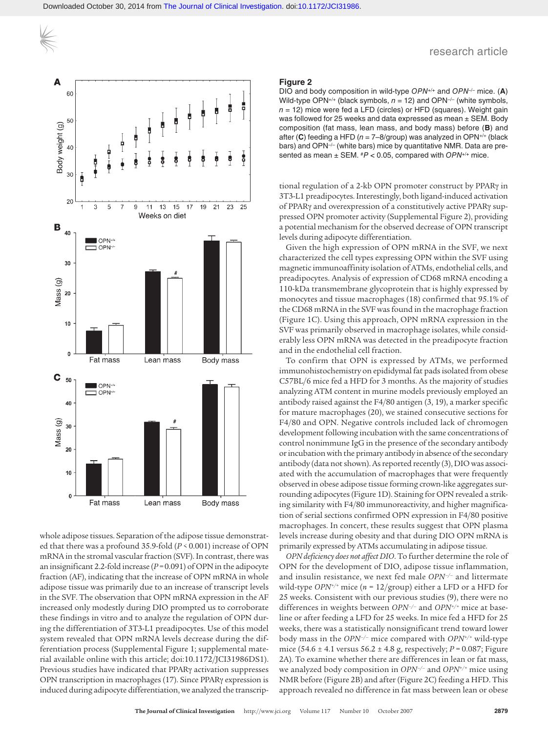

whole adipose tissues. Separation of the adipose tissue demonstrated that there was a profound 35.9-fold (*P <* 0.001) increase of OPN mRNA in the stromal vascular fraction (SVF). In contrast, there was an insignificant 2.2-fold increase (*P =* 0.091) of OPN in the adipocyte fraction (AF), indicating that the increase of OPN mRNA in whole adipose tissue was primarily due to an increase of transcript levels in the SVF. The observation that OPN mRNA expression in the AF increased only modestly during DIO prompted us to corroborate these findings in vitro and to analyze the regulation of OPN during the differentiation of 3T3-L1 preadipocytes. Use of this model system revealed that OPN mRNA levels decrease during the differentiation process (Supplemental Figure 1; supplemental material available online with this article; doi:10.1172/JCI31986DS1). Previous studies have indicated that PPARγ activation suppresses OPN transcription in macrophages (17). Since PPARγ expression is induced during adipocyte differentiation, we analyzed the transcrip-

### **Figure 2**

DIO and body composition in wild-type OPN+/+ and OPN–/– mice. (**A**) Wild-type OPN<sup>+/+</sup> (black symbols,  $n = 12$ ) and OPN<sup>-/-</sup> (white symbols,  $n = 12$ ) mice were fed a LFD (circles) or HFD (squares). Weight gain was followed for 25 weeks and data expressed as mean ± SEM. Body composition (fat mass, lean mass, and body mass) before (**B**) and after (C) feeding a HFD ( $n = 7-8$ /group) was analyzed in OPN<sup>+/+</sup> (black bars) and OPN<sup>-/-</sup> (white bars) mice by quantitative NMR. Data are presented as mean  $\pm$  SEM.  $^{#}P$  < 0.05, compared with OPN<sup>+/+</sup> mice.

tional regulation of a 2-kb OPN promoter construct by PPARγ in 3T3-L1 preadipocytes. Interestingly, both ligand-induced activation of PPARγ and overexpression of a constitutively active PPARγ suppressed OPN promoter activity (Supplemental Figure 2), providing a potential mechanism for the observed decrease of OPN transcript levels during adipocyte differentiation.

Given the high expression of OPN mRNA in the SVF, we next characterized the cell types expressing OPN within the SVF using magnetic immunoaffinity isolation of ATMs, endothelial cells, and preadipocytes. Analysis of expression of CD68 mRNA encoding a 110-kDa transmembrane glycoprotein that is highly expressed by monocytes and tissue macrophages (18) confirmed that 95.1% of the CD68 mRNA in the SVF was found in the macrophage fraction (Figure 1C). Using this approach, OPN mRNA expression in the SVF was primarily observed in macrophage isolates, while considerably less OPN mRNA was detected in the preadipocyte fraction and in the endothelial cell fraction.

To confirm that OPN is expressed by ATMs, we performed immunohistochemistry on epididymal fat pads isolated from obese C57BL/6 mice fed a HFD for 3 months. As the majority of studies analyzing ATM content in murine models previously employed an antibody raised against the F4/80 antigen (3, 19), a marker specific for mature macrophages (20), we stained consecutive sections for F4/80 and OPN. Negative controls included lack of chromogen development following incubation with the same concentrations of control nonimmune IgG in the presence of the secondary antibody or incubation with the primary antibody in absence of the secondary antibody (data not shown). As reported recently (3), DIO was associated with the accumulation of macrophages that were frequently observed in obese adipose tissue forming crown-like aggregates surrounding adipocytes(Figure 1D). Staining for OPN revealed a striking similarity with F4/80 immunoreactivity, and higher magnification of serial sections confirmed OPN expression in F4/80 positive macrophages. In concert, these results suggest that OPN plasma levels increase during obesity and that during DIO OPN mRNA is primarily expressed by ATMs accumulating in adipose tissue.

*OPN deficiency does not affect DIO*. To further determine the role of OPN for the development of DIO, adipose tissue inflammation, and insulin resistance, we next fed male *OPN–/–* and littermate wild-type *OPN+/+* mice (*n* = 12/group) either a LFD or a HFD for 25 weeks. Consistent with our previous studies (9), there were no differences in weights between *OPN–/–* and *OPN+/+* mice at baseline or after feeding a LFD for 25 weeks. In mice fed a HFD for 25 weeks, there was a statistically nonsignificant trend toward lower body mass in the *OPN–/–* mice compared with *OPN+/+* wild-type mice (54.6 ± 4.1 versus 56.2 ± 4.8 g, respectively; *P =* 0.087; Figure 2A). To examine whether there are differences in lean or fat mass, we analyzed body composition in *OPN–/–* and *OPN+/+* mice using NMR before (Figure 2B) and after(Figure 2C) feeding a HFD. This approach revealed no difference in fat mass between lean or obese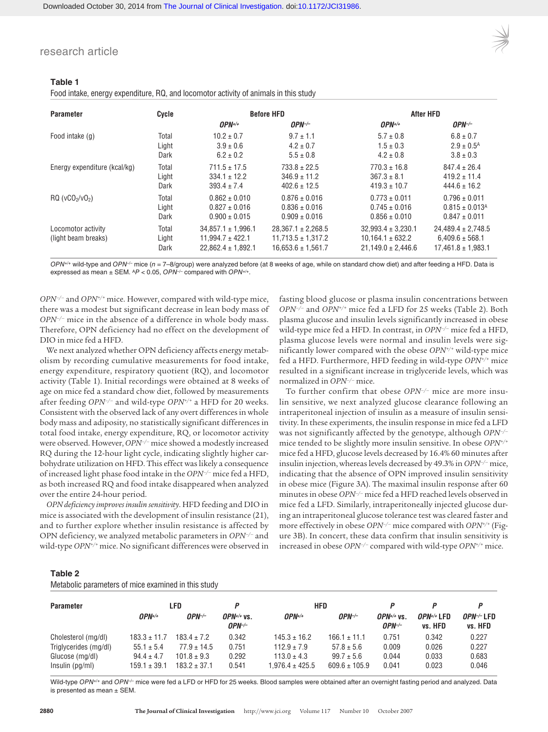### **Table 1**

Food intake, energy expenditure, RQ, and locomotor activity of animals in this study

| <b>Parameter</b>                          | Cycle                  |                                                                          | <b>Before HFD</b>                                                          | <b>After HFD</b>                                                         |                                                                         |  |
|-------------------------------------------|------------------------|--------------------------------------------------------------------------|----------------------------------------------------------------------------|--------------------------------------------------------------------------|-------------------------------------------------------------------------|--|
|                                           |                        | $OPN^{+/+}$                                                              | $OPN^{-/-}$                                                                | $OPN^{+/+}$                                                              | OPN-/-                                                                  |  |
| Food intake (g)                           | Total                  | $10.2 \pm 0.7$                                                           | $9.7 \pm 1.1$                                                              | $5.7 \pm 0.8$                                                            | $6.8 \pm 0.7$                                                           |  |
|                                           | Light                  | $3.9 \pm 0.6$                                                            | $4.2 \pm 0.7$                                                              | $1.5 \pm 0.3$                                                            | $2.9 \pm 0.5^{\text{A}}$                                                |  |
|                                           | Dark                   | $6.2 \pm 0.2$                                                            | $5.5 \pm 0.8$                                                              | $4.2 \pm 0.8$                                                            | $3.8 \pm 0.3$                                                           |  |
| Energy expenditure (kcal/kg)              | Total                  | $711.5 \pm 17.5$                                                         | $733.8 \pm 22.5$                                                           | $770.3 \pm 16.8$                                                         | $847.4 \pm 26.4$                                                        |  |
|                                           | Light                  | $334.1 \pm 12.2$                                                         | $346.9 \pm 11.2$                                                           | $367.3 \pm 8.1$                                                          | $419.2 \pm 11.4$                                                        |  |
|                                           | Dark                   | $393.4 \pm 7.4$                                                          | $402.6 \pm 12.5$                                                           | $419.3 \pm 10.7$                                                         | $444.6 \pm 16.2$                                                        |  |
| RQ (vCO <sub>2</sub> /vO <sub>2</sub> )   | Total                  | $0.862 \pm 0.010$                                                        | $0.876 \pm 0.016$                                                          | $0.773 \pm 0.011$                                                        | $0.796 \pm 0.011$                                                       |  |
|                                           | Light                  | $0.827 \pm 0.016$                                                        | $0.836 \pm 0.016$                                                          | $0.745 \pm 0.016$                                                        | $0.815 \pm 0.013$ <sup>A</sup>                                          |  |
|                                           | Dark                   | $0.900 \pm 0.015$                                                        | $0.909 \pm 0.016$                                                          | $0.856 \pm 0.010$                                                        | $0.847 \pm 0.011$                                                       |  |
| Locomotor activity<br>(light beam breaks) | Total<br>Light<br>Dark | $34.857.1 \pm 1.996.1$<br>$11.994.7 \pm 422.1$<br>$22,862.4 \pm 1,892.1$ | $28,367.1 \pm 2,268.5$<br>$11,713.5 \pm 1,317.2$<br>$16,653.6 \pm 1,561.7$ | $32.993.4 \pm 3.230.1$<br>$10,164.1 \pm 632.2$<br>$21,149.0 \pm 2,446.6$ | $24,489.4 \pm 2,748.5$<br>$6,409.6 \pm 568.1$<br>$17,461.8 \pm 1,983.1$ |  |

 $OPN^{+/+}$  wild-type and  $OPN^{-/-}$  mice (n = 7-8/group) were analyzed before (at 8 weeks of age, while on standard chow diet) and after feeding a HFD. Data is expressed as mean  $\pm$  SEM.  $AP < 0.05$ , OPN<sup>-/-</sup> compared with OPN<sup>+/+</sup>.

*OPN–/–* and *OPN+/+* mice. However, compared with wild-type mice, there was a modest but significant decrease in lean body mass of *OPN–/–* mice in the absence of a difference in whole body mass. Therefore, OPN deficiency had no effect on the development of DIO in mice fed a HFD.

We next analyzed whether OPN deficiency affects energy metabolism by recording cumulative measurements for food intake, energy expenditure, respiratory quotient (RQ), and locomotor activity (Table 1). Initial recordings were obtained at 8 weeks of age on mice fed a standard chow diet, followed by measurements after feeding *OPN–/–* and wild-type *OPN+/+* a HFD for 20 weeks. Consistent with the observed lack of any overt differencesin whole body mass and adiposity, no statistically significant differences in total food intake, energy expenditure, RQ, or locomotor activity were observed. However, *OPN–/–* mice showed a modestly increased RQ during the 12-hour light cycle, indicating slightly higher carbohydrate utilization on HFD. This effect was likely a consequence of increased light phase food intake in the *OPN–/–* mice fed a HFD, as both increased RQ and food intake disappeared when analyzed over the entire 24-hour period.

*OPN deficiency improves insulin sensitivity*. HFD feeding and DIO in mice is associated with the development of insulin resistance (21), and to further explore whether insulin resistance is affected by OPN deficiency, we analyzed metabolic parameters in *OPN–/–* and wild-type *OPN+/+* mice. No significant differences were observed in

fasting blood glucose or plasma insulin concentrations between *OPN–/–* and *OPN+/+* mice fed a LFD for 25 weeks (Table 2). Both plasma glucose and insulin levels significantly increased in obese wild-type mice fed a HFD. In contrast, in *OPN–/–* mice fed a HFD, plasma glucose levels were normal and insulin levels were significantly lower compared with the obese *OPN+/+* wild-type mice fed a HFD. Furthermore, HFD feeding in wild-type *OPN+/+* mice resulted in a significant increase in triglyceride levels, which was normalized in *OPN–/–* mice.

To further confirm that obese *OPN–/–* mice are more insulin sensitive, we next analyzed glucose clearance following an intraperitoneal injection of insulin as a measure of insulin sensitivity. In these experiments, the insulin response in mice fed a LFD was not significantly affected by the genotype, although *OPN–/–* mice tended to be slightly more insulin sensitive. In obese *OPN+/+* mice fed a HFD, glucose levels decreased by 16.4% 60 minutes after insulin injection, whereaslevels decreased by 49.3% in *OPN–/–* mice, indicating that the absence of OPN improved insulin sensitivity in obese mice (Figure 3A). The maximal insulin response after 60 minutesin obese *OPN–/–* mice fed a HFD reached levels observed in mice fed a LFD. Similarly, intraperitoneally injected glucose during an intraperitoneal glucose tolerance test was cleared faster and more effectively in obese *OPN–/–* mice compared with *OPN+/+* (Figure 3B). In concert, these data confirm that insulin sensitivity is increased in obese *OPN–/–* compared with wild-type *OPN+/+* mice.

### **Table 2**

Metabolic parameters of mice examined in this study

| <b>Parameter</b>                                                                   | LFD                                                                      |                                                                           |                                  |                                                                               | <b>HFD</b>                                                                |                                  |                                  | P                                |
|------------------------------------------------------------------------------------|--------------------------------------------------------------------------|---------------------------------------------------------------------------|----------------------------------|-------------------------------------------------------------------------------|---------------------------------------------------------------------------|----------------------------------|----------------------------------|----------------------------------|
|                                                                                    | $OPN^{+/+}$                                                              | $OPN^{-/-}$                                                               | $OPN^{+/+}$ vs.<br>$OPN^{-/-}$   | $OPN^{+/+}$                                                                   | $OPN^{-/-}$                                                               | $OPN^{+/+}$ vs.<br>$OPN^{-/-}$   | $OPN+/+ LFD$<br>vs. HFD          | $OPN^{-/-}$ LFD<br>vs. HFD       |
| Cholesterol (mg/dl)<br>Triglycerides (mg/dl)<br>Glucose (mg/dl)<br>Insulin (pg/ml) | $183.3 \pm 11.7$<br>$55.1 \pm 5.4$<br>$94.4 \pm 4.7$<br>$159.1 \pm 39.1$ | $183.4 \pm 7.2$<br>$77.9 \pm 14.5$<br>$101.8 \pm 9.3$<br>$183.2 \pm 37.1$ | 0.342<br>0.751<br>0.292<br>0.541 | $145.3 \pm 16.2$<br>$112.9 \pm 7.9$<br>$113.0 \pm 4.3$<br>$1.976.4 \pm 425.5$ | $166.1 \pm 11.1$<br>$57.8 \pm 5.6$<br>$99.7 \pm 5.6$<br>$609.6 \pm 105.9$ | 0.751<br>0.009<br>0.044<br>0.041 | 0.342<br>0.026<br>0.033<br>0.023 | 0.227<br>0.227<br>0.683<br>0.046 |

Wild-type OPN+/+ and OPN<sup>-/-</sup> mice were fed a LFD or HFD for 25 weeks. Blood samples were obtained after an overnight fasting period and analyzed. Data is presented as mean ± SEM.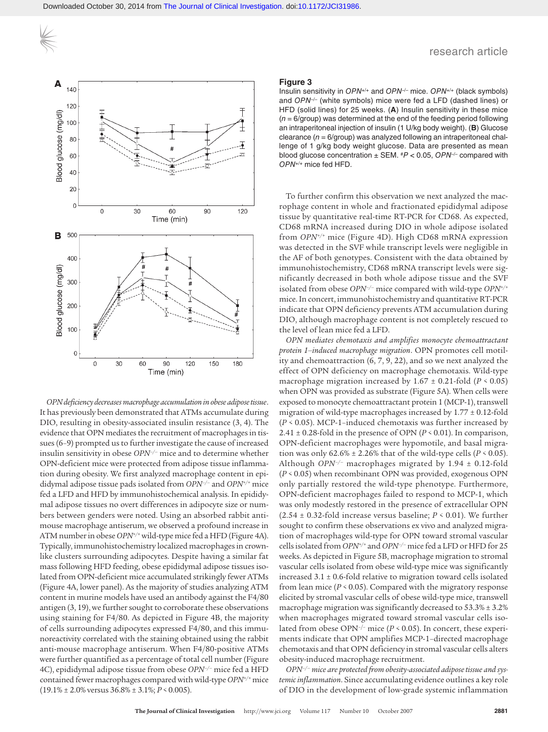Downloaded October 30, 2014 from [The Journal of Clinical Investigation.](http://www.jci.org) doi[:10.1172/JCI31986.](http://dx.doi.org/10.1172/JCI31986)



*OPN deficiency decreases macrophage accumulation in obese adipose tissue*. It has previously been demonstrated that ATMs accumulate during DIO, resulting in obesity-associated insulin resistance (3, 4). The evidence that OPN mediates the recruitment of macrophages in tissues (6-9) prompted us to further investigate the cause of increased insulin sensitivity in obese *OPN–/–* mice and to determine whether OPN-deficient mice were protected from adipose tissue inflammation during obesity. We first analyzed macrophage content in epididymal adipose tissue pads isolated from *OPN–/–* and *OPN+/+* mice fed a LFD and HFD by immunohistochemical analysis. In epididymal adipose tissues no overt differences in adipocyte size or numbers between genders were noted. Using an absorbed rabbit antimouse macrophage antiserum, we observed a profound increase in ATM number in obese OPN<sup>+/+</sup> wild-type mice fed a HFD (Figure 4A). Typically, immunohistochemistry localized macrophages in crownlike clusters surrounding adipocytes. Despite having a similar fat mass following HFD feeding, obese epididymal adipose tissues isolated from OPN-deficient mice accumulated strikingly fewer ATMs (Figure 4A, lower panel). As the majority of studies analyzing ATM content in murine models have used an antibody against the F4/80 antigen  $(3, 19)$ , we further sought to corroborate these observations using staining for F4/80. As depicted in Figure 4B, the majority of cells surrounding adipocytes expressed F4/80, and this immunoreactivity correlated with the staining obtained using the rabbit anti-mouse macrophage antiserum. When F4/80-positive ATMs were further quantified as a percentage of total cell number (Figure 4C), epididymal adipose tissue from obese *OPN–/–* mice fed a HFD contained fewer macrophages compared with wild-type OPN<sup>+/+</sup> mice (19.1% ± 2.0% versus 36.8% ± 3.1%; *P <* 0.005).

### **Figure 3**

Insulin sensitivity in OPN+/+ and OPN–/– mice. OPN+/+ (black symbols) and OPN<sup>-/-</sup> (white symbols) mice were fed a LFD (dashed lines) or HFD (solid lines) for 25 weeks. (**A**) Insulin sensitivity in these mice  $(n = 6$ /group) was determined at the end of the feeding period following an intraperitoneal injection of insulin (1 U/kg body weight). (**B**) Glucose clearance ( $n = 6$ /group) was analyzed following an intraperitoneal challenge of 1 g/kg body weight glucose. Data are presented as mean blood glucose concentration  $\pm$  SEM.  $^{#}P$  < 0.05, OPN<sup>-/-</sup> compared with OPN+/+ mice fed HFD.

To further confirm this observation we next analyzed the macrophage content in whole and fractionated epididymal adipose tissue by quantitative real-time RT-PCR for CD68. As expected, CD68 mRNA increased during DIO in whole adipose isolated from *OPN+/+* mice (Figure 4D). High CD68 mRNA expression was detected in the SVF while transcript levels were negligible in the AF of both genotypes. Consistent with the data obtained by immunohistochemistry, CD68 mRNA transcript levels were significantly decreased in both whole adipose tissue and the SVF isolated from obese *OPN–/–* mice compared with wild-type *OPN+/+* mice. In concert, immunohistochemistry and quantitative RT-PCR indicate that OPN deficiency prevents ATM accumulation during DIO, although macrophage content is not completely rescued to the level of lean mice fed a LFD.

*OPN mediates chemotaxis and amplifies monocyte chemoattractant protein 1–induced macrophage migration*. OPN promotes cell motility and chemoattraction (6, 7, 9, 22), and so we next analyzed the effect of OPN deficiency on macrophage chemotaxis. Wild-type macrophage migration increased by 1.67 ± 0.21-fold (*P <* 0.05) when OPN was provided as substrate (Figure 5A). When cells were exposed to monocyte chemoattractant protein 1 (MCP-1), transwell migration of wild-type macrophages increased by  $1.77 \pm 0.12$ -fold (*P <* 0.05). MCP-1–induced chemotaxis was further increased by 2.41  $\pm$  0.28-fold in the presence of OPN ( $P$  < 0.01). In comparison, OPN-deficient macrophages were hypomotile, and basal migration was only  $62.6\% \pm 2.26\%$  that of the wild-type cells ( $P \le 0.05$ ). Although *OPN–/–* macrophages migrated by 1.94 ± 0.12-fold (*P <* 0.05) when recombinant OPN was provided, exogenous OPN only partially restored the wild-type phenotype. Furthermore, OPN-deficient macrophages failed to respond to MCP-1, which was only modestly restored in the presence of extracellular OPN (2.54 ± 0.32-fold increase versus baseline; *P <* 0.01). We further sought to confirm these observations ex vivo and analyzed migration of macrophages wild-type for OPN toward stromal vascular cellsisolated from *OPN+/+* and*OPN–/–* mice fed a LFD or HFD for 25 weeks. As depicted in Figure 5B, macrophage migration to stromal vascular cells isolated from obese wild-type mice was significantly increased 3.1 ± 0.6-fold relative to migration toward cells isolated from lean mice  $(P < 0.05)$ . Compared with the migratory response elicited by stromal vascular cells of obese wild-type mice, transwell macrophage migration was significantly decreased to  $53.3\% \pm 3.2\%$ when macrophages migrated toward stromal vascular cells isolated from obese OPN–/– mice (*P <* 0.05). In concert, these experiments indicate that OPN amplifies MCP-1–directed macrophage chemotaxis and that OPN deficiency in stromal vascular cells alters obesity-induced macrophage recruitment.

*OPN–/– mice are protected from obesity-associated adipose tissue and systemic inflammation*. Since accumulating evidence outlines a key role of DIO in the development of low-grade systemic inflammation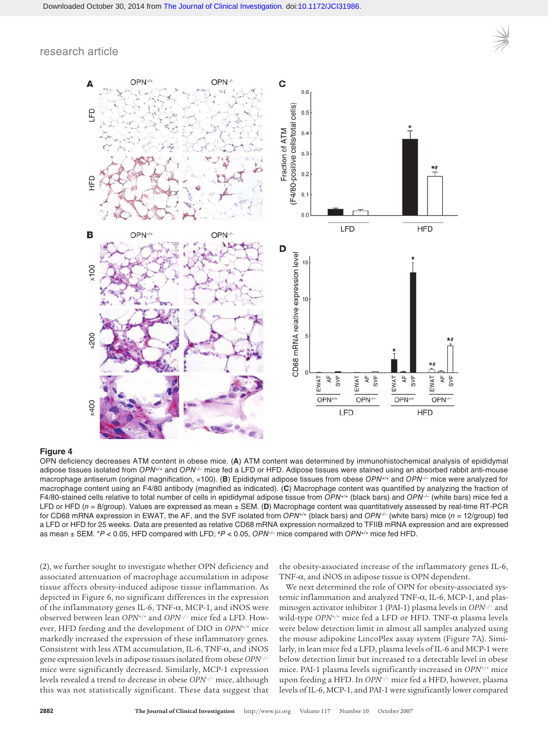

### **Figure 4**

OPN deficiency decreases ATM content in obese mice. (**A**) ATM content was determined by immunohistochemical analysis of epididymal adipose tissues isolated from OPN<sup>+/+</sup> and OPN<sup>-/-</sup> mice fed a LFD or HFD. Adipose tissues were stained using an absorbed rabbit anti-mouse macrophage antiserum (original magnification, ×100). (**B**) Epididymal adipose tissues from obese OPN+/+ and OPN–/– mice were analyzed for macrophage content using an F4/80 antibody (magnified as indicated). (**C**) Macrophage content was quantified by analyzing the fraction of F4/80-stained cells relative to total number of cells in epididymal adipose tissue from OPN<sup>+/+</sup> (black bars) and OPN<sup>-/-</sup> (white bars) mice fed a LFD or HFD (n = 8/group). Values are expressed as mean ± SEM. (**D**) Macrophage content was quantitatively assessed by real-time RT-PCR for CD68 mRNA expression in EWAT, the AF, and the SVF isolated from  $OPN^{++}$  (black bars) and  $OPN^{-/-}$  (white bars) mice (n = 12/group) fed a LFD or HFD for 25 weeks. Data are presented as relative CD68 mRNA expression normalized to TFIIB mRNA expression and are expressed as mean  $\pm$  SEM. \*P < 0.05, HFD compared with LFD;  $\#P$  < 0.05, OPN<sup>+/-</sup> mice compared with OPN<sup>+/+</sup> mice fed HFD.

(2), we further sought to investigate whether OPN deficiency and associated attenuation of macrophage accumulation in adipose tissue affects obesity-induced adipose tissue inflammation. As depicted in Figure 6, no significant differences in the expression of the inflammatory genes IL-6, TNF-α, MCP-1, and iNOS were observed between lean *OPN+/+* and *OPN–/–* mice fed a LFD. However, HFD feeding and the development of DIO in *OPN+/+* mice markedly increased the expression of these inflammatory genes. Consistent with less ATM accumulation, IL-6, TNF-α, and iNOS gene expression levelsin adipose tissuesisolated from obese*OPN–/–* mice were significantly decreased. Similarly, MCP-1 expression levels revealed a trend to decrease in obese *OPN–/–* mice, although this was not statistically significant. These data suggest that the obesity-associated increase of the inflammatory genes IL-6, TNF-α, and iNOS in adipose tissue is OPN dependent.

We next determined the role of OPN for obesity-associated systemic inflammation and analyzed TNF-α, IL-6, MCP-1, and plasminogen activator inhibitor 1 (PAI-1) plasma levels in *OPN–/–* and wild-type *OPN+/+* mice fed a LFD or HFD. TNF-α plasma levels were below detection limit in almost all samples analyzed using the mouse adipokine LincoPlex assay system (Figure 7A). Similarly, in lean mice fed a LFD, plasma levels of IL-6 and MCP-1 were below detection limit but increased to a detectable level in obese mice. PAI-1 plasma levels significantly increased in *OPN+/+* mice upon feeding a HFD. In *OPN–/–* mice fed a HFD, however, plasma levels of IL-6, MCP-1, and PAI-1 were significantly lower compared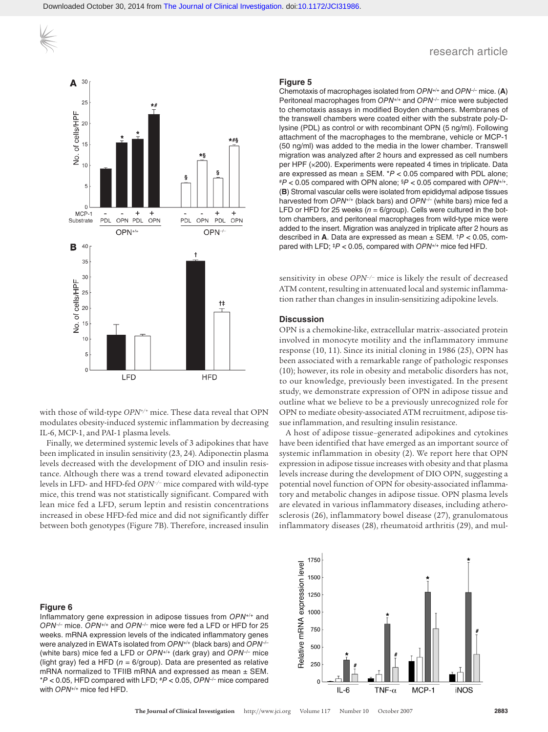

with those of wild-type *OPN+/+* mice. These data reveal that OPN modulates obesity-induced systemic inflammation by decreasing IL-6, MCP-1, and PAI-1 plasma levels.

Finally, we determined systemic levels of 3 adipokines that have been implicated in insulin sensitivity (23, 24). Adiponectin plasma levels decreased with the development of DIO and insulin resistance. Although there was a trend toward elevated adiponectin levels in LFD- and HFD-fed *OPN–/–* mice compared with wild-type mice, this trend was not statistically significant. Compared with lean mice fed a LFD, serum leptin and resistin concentrations increased in obese HFD-fed mice and did not significantly differ between both genotypes (Figure 7B). Therefore, increased insulin

### **Figure 6**

Inflammatory gene expression in adipose tissues from OPN+/+ and  $OPN^{-/-}$  mice.  $OPN^{+/+}$  and  $OPN^{-/-}$  mice were fed a LFD or HFD for 25 weeks. mRNA expression levels of the indicated inflammatory genes were analyzed in EWATs isolated from OPN<sup>+/+</sup> (black bars) and OPN<sup>-/-</sup> (white bars) mice fed a LFD or  $OPN^{+/+}$  (dark gray) and  $OPN^{-/-}$  mice (light gray) fed a HFD ( $n = 6$ /group). Data are presented as relative mRNA normalized to TFIIB mRNA and expressed as mean  $\pm$  SEM. \*P < 0.05, HFD compared with LFD;  $P$  < 0.05, OPN<sup>-/-</sup> mice compared with OPN+/+ mice fed HFD.

### **Figure 5**

Chemotaxis of macrophages isolated from OPN+/+ and OPN–/– mice. (**A**) Peritoneal macrophages from OPN<sup>+/+</sup> and OPN<sup>-/-</sup> mice were subjected to chemotaxis assays in modified Boyden chambers. Membranes of the transwell chambers were coated either with the substrate poly-Dlysine (PDL) as control or with recombinant OPN (5 ng/ml). Following attachment of the macrophages to the membrane, vehicle or MCP-1 (50 ng/ml) was added to the media in the lower chamber. Transwell migration was analyzed after 2 hours and expressed as cell numbers per HPF ( $\times$ 200). Experiments were repeated 4 times in triplicate. Data are expressed as mean  $\pm$  SEM. \* $P < 0.05$  compared with PDL alone;  $P < 0.05$  compared with OPN alone;  $P < 0.05$  compared with OPN+/+. (**B**) Stromal vascular cells were isolated from epididymal adipose tissues harvested from  $OPN^{+/+}$  (black bars) and  $OPN^{-/-}$  (white bars) mice fed a LFD or HFD for 25 weeks ( $n = 6$ /group). Cells were cultured in the bottom chambers, and peritoneal macrophages from wild-type mice were added to the insert. Migration was analyzed in triplicate after 2 hours as described in **A**. Data are expressed as mean ± SEM. †P < 0.05, compared with LFD;  $P < 0.05$ , compared with OPN<sup>+/+</sup> mice fed HFD.

sensitivity in obese *OPN–/–* mice is likely the result of decreased ATM content, resulting in attenuated local and systemic inflammation rather than changes in insulin-sensitizing adipokine levels.

### **Discussion**

OPN is a chemokine-like, extracellular matrix–associated protein involved in monocyte motility and the inflammatory immune response (10, 11). Since its initial cloning in 1986 (25), OPN has been associated with a remarkable range of pathologic responses (10); however, its role in obesity and metabolic disorders has not, to our knowledge, previously been investigated. In the present study, we demonstrate expression of OPN in adipose tissue and outline what we believe to be a previously unrecognized role for OPN to mediate obesity-associated ATM recruitment, adipose tissue inflammation, and resulting insulin resistance.

A host of adipose tissue–generated adipokines and cytokines have been identified that have emerged as an important source of systemic inflammation in obesity (2). We report here that OPN expression in adipose tissue increases with obesity and that plasma levels increase during the development of DIO OPN, suggesting a potential novel function of OPN for obesity-associated inflammatory and metabolic changes in adipose tissue. OPN plasma levels are elevated in various inflammatory diseases, including atherosclerosis (26), inflammatory bowel disease (27), granulomatous inflammatory diseases (28), rheumatoid arthritis (29), and mul-

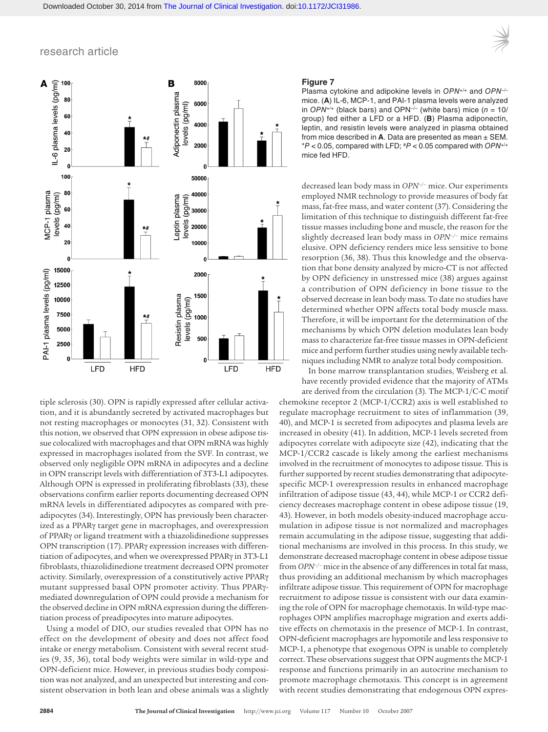

tiple sclerosis (30). OPN is rapidly expressed after cellular activation, and it is abundantly secreted by activated macrophages but not resting macrophages or monocytes (31, 32). Consistent with this notion, we observed that OPN expression in obese adipose tissue colocalized with macrophages and that OPN mRNAwas highly expressed in macrophages isolated from the SVF. In contrast, we observed only negligible OPN mRNA in adipocytes and a decline in OPN transcript levels with differentiation of 3T3-L1 adipocytes. Although OPN is expressed in proliferating fibroblasts (33), these observations confirm earlier reports documenting decreased OPN mRNA levels in differentiated adipocytes as compared with preadipocytes (34). Interestingly, OPN has previously been characterized as a PPARγ target gene in macrophages, and overexpression of PPARγ or ligand treatment with a thiazolidinedione suppresses OPN transcription (17). PPARγ expression increases with differentiation of adipocytes, and when we overexpressed PPARγ in 3T3-L1 fibroblasts, thiazolidinedione treatment decreased OPN promoter activity. Similarly, overexpression of a constitutively active PPARγ mutant suppressed basal OPN promoter activity. Thus PPARγmediated downregulation of OPN could provide a mechanism for the observed decline in OPN mRNA expression during the differentiation process of preadipocytes into mature adipocytes.

Using a model of DIO, our studies revealed that OPN has no effect on the development of obesity and does not affect food intake or energy metabolism. Consistent with several recent studies (9, 35, 36), total body weights were similar in wild-type and OPN-deficient mice. However, in previous studies body composition was not analyzed, and an unexpected but interesting and consistent observation in both lean and obese animals was a slightly

### **Figure 7**

Plasma cytokine and adipokine levels in OPN+/+ and OPN-/mice. (**A**) IL-6, MCP-1, and PAI-1 plasma levels were analyzed in OPN<sup>+/+</sup> (black bars) and OPN<sup>-/-</sup> (white bars) mice ( $n = 10/$ group) fed either a LFD or a HFD. (**B**) Plasma adiponectin, leptin, and resistin levels were analyzed in plasma obtained from mice described in **A**. Data are presented as mean ± SEM.  $*P < 0.05$ , compared with LFD;  $*P < 0.05$  compared with OPN $+1$ mice fed HFD.

decreased lean body mass in *OPN–/–* mice. Our experiments employed NMR technology to provide measures of body fat mass, fat-free mass, and water content (37). Considering the limitation of this technique to distinguish different fat-free tissue masses including bone and muscle, the reason for the slightly decreased lean body mass in *OPN–/–* mice remains elusive. OPN deficiency renders mice less sensitive to bone resorption (36, 38). Thus this knowledge and the observation that bone density analyzed by micro-CT is not affected by OPN deficiency in unstressed mice (38) argues against a contribution of OPN deficiency in bone tissue to the observed decrease in lean body mass. To date no studies have determined whether OPN affects total body muscle mass. Therefore, it will be important for the determination of the mechanisms by which OPN deletion modulates lean body mass to characterize fat-free tissue masses in OPN-deficient mice and perform further studies using newly available techniques including NMR to analyze total body composition.

In bone marrow transplantation studies, Weisberg et al. have recently provided evidence that the majority of ATMs are derived from the circulation (3). The MCP-1/C-C motif

chemokine receptor 2 (MCP-1/CCR2) axis is well established to regulate macrophage recruitment to sites of inflammation (39, 40), and MCP-1 is secreted from adipocytes and plasma levels are increased in obesity (41). In addition, MCP-1 levels secreted from adipocytes correlate with adipocyte size (42), indicating that the MCP-1/CCR2 cascade is likely among the earliest mechanisms involved in the recruitment of monocytes to adipose tissue. This is further supported by recent studies demonstrating that adipocytespecific MCP-1 overexpression results in enhanced macrophage infiltration of adipose tissue (43, 44), while MCP-1 or CCR2 deficiency decreases macrophage content in obese adipose tissue (19, 43). However, in both models obesity-induced macrophage accumulation in adipose tissue is not normalized and macrophages remain accumulating in the adipose tissue, suggesting that additional mechanisms are involved in this process. In this study, we demonstrate decreased macrophage content in obese adipose tissue from *OPN<sup>-/-</sup>* mice in the absence of any differences in total fat mass, thus providing an additional mechanism by which macrophages infiltrate adipose tissue. This requirement of OPN for macrophage recruitment to adipose tissue is consistent with our data examining the role of OPN for macrophage chemotaxis. In wild-type macrophages OPN amplifies macrophage migration and exerts additive effects on chemotaxis in the presence of MCP-1. In contrast, OPN-deficient macrophages are hypomotile and lessresponsive to MCP-1, a phenotype that exogenous OPN is unable to completely correct. These observations suggest that OPN augments the MCP-1 response and functions primarily in an autocrine mechanism to promote macrophage chemotaxis. This concept is in agreement with recent studies demonstrating that endogenous OPN expres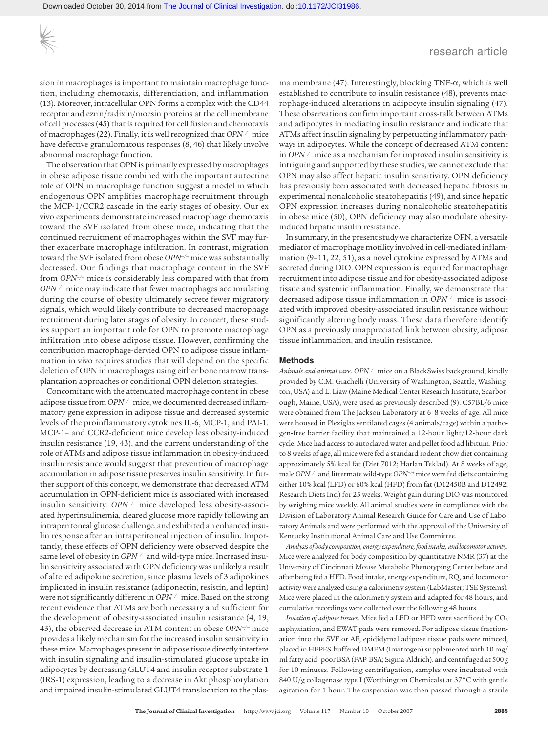sion in macrophages is important to maintain macrophage function, including chemotaxis, differentiation, and inflammation (13). Moreover, intracellular OPN forms a complex with the CD44 receptor and ezrin/radixin/moesin proteins at the cell membrane of cell processes (45) that is required for cell fusion and chemotaxis of macrophages(22). Finally, it is well recognized that *OPN–/–* mice have defective granulomatous responses (8, 46) that likely involve abnormal macrophage function.

The observation that OPN is primarily expressed by macrophages in obese adipose tissue combined with the important autocrine role of OPN in macrophage function suggest a model in which endogenous OPN amplifies macrophage recruitment through the MCP-1/CCR2 cascade in the early stages of obesity. Our ex vivo experiments demonstrate increased macrophage chemotaxis toward the SVF isolated from obese mice, indicating that the continued recruitment of macrophages within the SVF may further exacerbate macrophage infiltration. In contrast, migration toward the SVF isolated from obese OPN<sup>-/-</sup> mice was substantially decreased. Our findings that macrophage content in the SVF from *OPN–/–* mice is considerably less compared with that from *OPN+/+* mice may indicate that fewer macrophages accumulating during the course of obesity ultimately secrete fewer migratory signals, which would likely contribute to decreased macrophage recruitment during later stages of obesity. In concert, these studies support an important role for OPN to promote macrophage infiltration into obese adipose tissue. However, confirming the contribution macrophage-dervied OPN to adipose tissue inflammation in vivo requires studies that will depend on the specific deletion of OPN in macrophages using either bone marrow transplantation approaches or conditional OPN deletion strategies.

Concomitant with the attenuated macrophage content in obese adipose tissue from *OPN–/–* mice,we documented decreased inflammatory gene expression in adipose tissue and decreased systemic levels of the proinflammatory cytokines IL-6, MCP-1, and PAI-1. MCP-1– and CCR2-deficient mice develop less obesity-induced insulin resistance (19, 43), and the current understanding of the role of ATMs and adipose tissue inflammation in obesity-induced insulin resistance would suggest that prevention of macrophage accumulation in adipose tissue preserves insulin sensitivity. In further support of this concept, we demonstrate that decreased ATM accumulation in OPN-deficient mice is associated with increased insulin sensitivity: *OPN–/–* mice developed less obesity-associated hyperinsulinemia, cleared glucose more rapidly following an intraperitoneal glucose challenge, and exhibited an enhanced insulin response after an intraperitoneal injection of insulin. Importantly, these effects of OPN deficiency were observed despite the same level of obesity in *OPN–/–* and wild-type mice. Increased insulin sensitivity associated with OPN deficiency was unlikely a result of altered adipokine secretion, since plasma levels of 3 adipokines implicated in insulin resistance (adiponectin, resistin, and leptin) were not significantly different in OPN<sup>-/-</sup> mice. Based on the strong recent evidence that ATMs are both necessary and sufficient for the development of obesity-associated insulin resistance (4, 19, 43), the observed decrease in ATM content in obese *OPN–/–* mice provides a likely mechanism for the increased insulin sensitivity in these mice. Macrophages present in adipose tissue directly interfere with insulin signaling and insulin-stimulated glucose uptake in adipocytes by decreasing GLUT4 and insulin receptor substrate 1 (IRS-1) expression, leading to a decrease in Akt phosphorylation and impaired insulin-stimulated GLUT4 translocation to the plasma membrane (47). Interestingly, blocking TNF-α, which is well established to contribute to insulin resistance (48), prevents macrophage-induced alterations in adipocyte insulin signaling (47). These observations confirm important cross-talk between ATMs and adipocytes in mediating insulin resistance and indicate that ATMs affect insulin signaling by perpetuating inflammatory pathways in adipocytes. While the concept of decreased ATM content in *OPN–/–* mice as a mechanism for improved insulin sensitivity is intriguing and supported by these studies, we cannot exclude that OPN may also affect hepatic insulin sensitivity. OPN deficiency has previously been associated with decreased hepatic fibrosis in experimental nonalcoholic steatohepatitis (49), and since hepatic OPN expression increases during nonalcoholic steatohepatitis in obese mice (50), OPN deficiency may also modulate obesityinduced hepatic insulin resistance.

In summary, in the present study we characterize OPN, a versatile mediator of macrophage motility involved in cell-mediated inflammation (9–11, 22, 51), as a novel cytokine expressed by ATMs and secreted during DIO. OPN expression is required for macrophage recruitment into adipose tissue and for obesity-associated adipose tissue and systemic inflammation. Finally, we demonstrate that decreased adipose tissue inflammation in *OPN–/–* mice is associated with improved obesity-associated insulin resistance without significantly altering body mass. These data therefore identify OPN as a previously unappreciated link between obesity, adipose tissue inflammation, and insulin resistance.

### **Methods**

*Animals and animal care*. *OPN–/–* mice on a BlackSwiss background, kindly provided by C.M. Giachelli (University of Washington, Seattle, Washington, USA) and L. Liaw (Maine Medical Center Research Institute, Scarborough, Maine, USA), were used as previously described (9). C57BL/6 mice were obtained from The Jackson Laboratory at 6–8 weeks of age. All mice were housed in Plexiglas ventilated cages (4 animals/cage) within a pathogen-free barrier facility that maintained a 12-hour light/12-hour dark cycle. Mice had access to autoclaved water and pellet food ad libitum. Prior to 8 weeks of age, all mice were fed a standard rodent chow diet containing approximately 5% kcal fat (Diet 7012; Harlan Teklad). At 8 weeks of age, male *OPN–/–* and littermatewild-type *OPN+/+* mice were fed diets containing either 10% kcal (LFD) or 60% kcal (HFD) from fat (D12450B and D12492; Research Diets Inc.) for 25 weeks. Weight gain during DIO was monitored by weighing mice weekly. All animal studies were in compliance with the Division of Laboratory Animal Research Guide for Care and Use of Laboratory Animals and were performed with the approval of the University of Kentucky Institutional Animal Care and Use Committee.

*Analysis of body composition, energy expenditure, food intake, and locomotor activity*. Mice were analyzed for body composition by quantitative NMR (37) at the University of Cincinnati Mouse Metabolic Phenotyping Center before and after being fed a HFD. Food intake, energy expenditure, RQ, and locomotor activity were analyzed using a calorimetry system (LabMaster; TSE Systems). Mice were placed in the calorimetry system and adapted for 48 hours, and cumulative recordings were collected over the following 48 hours.

*Isolation of adipose tissues*. Mice fed a LFD or HFD were sacrificed by CO<sub>2</sub> asphyxiation, and EWAT pads were removed. For adipose tissue fractionation into the SVF or AF, epididymal adipose tissue pads were minced, placed in HEPES-buffered DMEM (Invitrogen) supplemented with 10 mg/ ml fatty acid–poor BSA (FAP-BSA; Sigma-Aldrich), and centrifuged at 500 *g* for 10 minutes. Following centrifugation, samples were incubated with 840 U/g collagenase type I (Worthington Chemicals) at 37°C with gentle agitation for 1 hour. The suspension was then passed through a sterile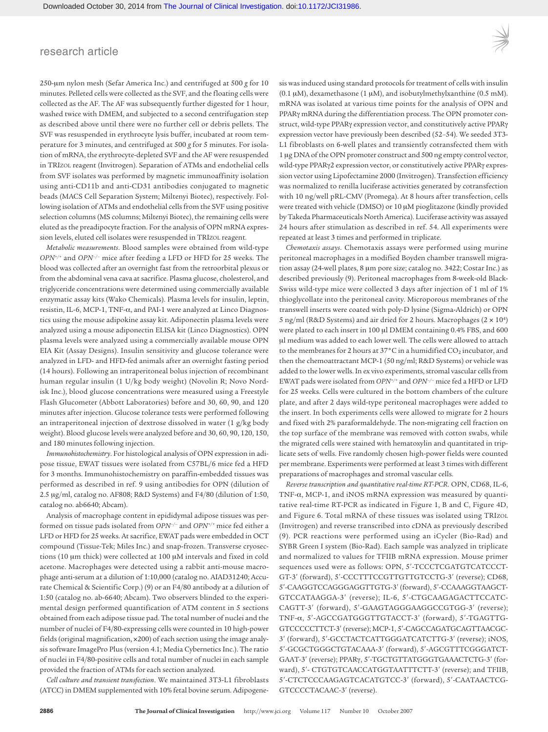250-μm nylon mesh (Sefar America Inc.) and centrifuged at 500 *g* for 10 minutes. Pelleted cells were collected asthe SVF, and the floating cells were collected as the AF. The AF was subsequently further digested for 1 hour, washed twice with DMEM, and subjected to a second centrifugation step as described above until there were no further cell or debris pellets. The SVF was resuspended in erythrocyte lysis buffer, incubated at room temperature for 3 minutes, and centrifuged at 500 *g* for 5 minutes. For isolation of mRNA, the erythrocyte-depleted SVF and the AF were resuspended in TRIzol reagent (Invitrogen). Separation of ATMs and endothelial cells from SVF isolates was performed by magnetic immunoaffinity isolation using anti-CD11b and anti-CD31 antibodies conjugated to magnetic beads (MACS Cell Separation System; Miltenyi Biotec), respectively. Following isolation of ATMs and endothelial cells from the SVF using positive selection columns(MS columns; Miltenyi Biotec), the remaining cells were eluted as the preadipocyte fraction. For the analysis of OPN mRNA expression levels, eluted cell isolates were resuspended in TRIzOL reagent.

*Metabolic measurements*. Blood samples were obtained from wild-type *OPN+/+* and *OPN–/–* mice after feeding a LFD or HFD for 25 weeks. The blood was collected after an overnight fast from the retroorbital plexus or from the abdominal vena cava at sacrifice. Plasma glucose, cholesterol, and triglyceride concentrations were determined using commercially available enzymatic assay kits (Wako Chemicals). Plasma levels for insulin, leptin, resistin, IL-6, MCP-1, TNF-α, and PAI-1 were analyzed at Linco Diagnostics using the mouse adipokine assay kit. Adiponectin plasma levels were analyzed using a mouse adiponectin ELISA kit (Linco Diagnostics). OPN plasma levels were analyzed using a commercially available mouse OPN EIA Kit (Assay Designs). Insulin sensitivity and glucose tolerance were analyzed in LFD- and HFD-fed animals after an overnight fasting period (14 hours). Following an intraperitoneal bolus injection of recombinant human regular insulin (1 U/kg body weight) (Novolin R; Novo Nordisk Inc.), blood glucose concentrations were measured using a Freestyle Flash Glucometer (Abbott Laboratories) before and 30, 60, 90, and 120 minutes after injection. Glucose tolerance tests were performed following an intraperitoneal injection of dextrose dissolved in water (1 g/kg body weight). Blood glucose levels were analyzed before and 30, 60, 90, 120, 150, and 180 minutes following injection.

*Immunohistochemistry*. For histological analysis of OPN expression in adipose tissue, EWAT tissues were isolated from C57BL/6 mice fed a HFD for 3 months. Immunohistochemistry on paraffin-embedded tissues was performed as described in ref. 9 using antibodies for OPN (dilution of 2.5 μg/ml, catalog no. AF808; R&D Systems) and F4/80 (dilution of 1:50, catalog no. ab6640; Abcam).

Analysis of macrophage content in epididymal adipose tissues was performed on tissue pads isolated from *OPN–/–* and *OPN+/+* mice fed either a LFD or HFD for 25 weeks. At sacrifice, EWAT pads were embedded in OCT compound (Tissue-Tek; Miles Inc.) and snap-frozen. Transverse cryosections (10 μm thick) were collected at 100 μM intervals and fixed in cold acetone. Macrophages were detected using a rabbit anti-mouse macrophage anti-serum at a dilution of 1:10,000 (catalog no. AIAD31240; Accurate Chemical & Scientific Corp.) (9) or an F4/80 antibody at a dilution of 1:50 (catalog no. ab-6640; Abcam). Two observers blinded to the experimental design performed quantification of ATM content in 5 sections obtained from each adipose tissue pad. The total number of nuclei and the number of nuclei of F4/80-expressing cells were counted in 10 high-power fields (original magnification, ×200) of each section using the image analysis software ImagePro Plus (version 4.1; Media Cybernetics Inc.). The ratio of nuclei in F4/80-positive cells and total number of nuclei in each sample provided the fraction of ATMs for each section analyzed.

*Cell culture and transient transfection*. We maintained 3T3-L1 fibroblasts (ATCC) in DMEM supplemented with 10% fetal bovine serum. Adipogenesis was induced using standard protocols for treatment of cells with insulin (0.1 μM), dexamethasone (1 μM), and isobutylmethylxanthine (0.5 mM). mRNA was isolated at various time points for the analysis of OPN and PPARγ mRNA during the differentiation process. The OPN promoter construct, wild-type PPARγ expression vector, and constitutively active PPARγ expression vector have previously been described (52–54). We seeded 3T3- L1 fibroblasts on 6-well plates and transiently cotransfected them with 1 μg DNA ofthe OPN promoter construct and 500 ng empty control vector, wild-type PPARγ2 expression vector, or constitutively active PPARγ expression vector using Lipofectamine 2000 (Invitrogen). Transfection efficiency was normalized to renilla luciferase activities generated by cotransfection with 10 ng/well pRL-CMV (Promega). At 8 hours after transfection, cells were treated with vehicle (DMSO) or 10 μM pioglitazone (kindly provided by Takeda Pharmaceuticals North America). Luciferase activity was assayed 24 hours after stimulation as described in ref. 54. All experiments were repeated at least 3 times and performed in triplicate.

*Chemotaxis assays*. Chemotaxis assays were performed using murine peritoneal macrophages in a modified Boyden chamber transwell migration assay (24-well plates, 8 μm pore size; catalog no. 3422; Costar Inc.) as described previously (9). Peritoneal macrophages from 8-week-old Black-Swiss wild-type mice were collected 3 days after injection of 1 ml of 1% thioglycollate into the peritoneal cavity. Microporous membranes of the transwell inserts were coated with poly-D lysine (Sigma-Aldrich) or OPN 5 ng/ml (R&D Systems) and air dried for 2 hours. Macrophages  $(2 \times 10^4)$ were plated to each insert in 100 μl DMEM containing 0.4% FBS, and 600 μl medium was added to each lower well. The cells were allowed to attach to the membranes for 2 hours at 37°C in a humidified  $CO<sub>2</sub>$  incubator, and then the chemoattractant MCP-1 (50 ng/ml; R&D Systems) or vehicle was added to the lower wells. In ex vivo experiments, stromal vascular cells from EWAT pads were isolated from *OPN+/+* and *OPN–/–* mice fed a HFD or LFD for 25 weeks. Cells were cultured in the bottom chambers of the culture plate, and after 2 days wild-type peritoneal macrophages were added to the insert. In both experiments cells were allowed to migrate for 2 hours and fixed with 2% paraformaldehyde. The non-migrating cell fraction on the top surface of the membrane was removed with cotton swabs, while the migrated cells were stained with hematoxylin and quantitated in triplicate sets of wells. Five randomly chosen high-power fields were counted per membrane. Experiments were performed at least 3 times with different preparations of macrophages and stromal vascular cells.

*Reverse transcription and quantitative real-time RT-PCR*. OPN, CD68, IL-6, TNF-α, MCP-1, and iNOS mRNA expression was measured by quantitative real-time RT-PCR as indicated in Figure 1, B and C, Figure 4D, and Figure 6. Total mRNA of these tissues was isolated using TRIzOL (Invitrogen) and reverse transcribed into cDNA as previously described (9). PCR reactions were performed using an iCycler (Bio-Rad) and SYBR Green I system (Bio-Rad). Each sample was analyzed in triplicate and normalized to values for TFIIB mRNA expression. Mouse primer sequences used were as follows: OPN, 5′-TCCCTCGATGTCATCCCT-GT-3′ (forward), 5′-CCCTTTCCGTTGTTGTCCTG-3′ (reverse); CD68, 5′-CAAGGTCCAGGGAGGTTGTG-3′ (forward), 5′-CCAAAGGTAAGCT-GTCCATAAGGA-3′ (reverse); IL-6, 5′-CTGCAAGAGACTTCCATC-CAGTT-3′ (forward), 5′-GAAGTAGGGAAGGCCGTGG-3′ (reverse); TNF-α, 5′-AGCCGATGGGTTGTACCT-3′ (forward), 5′-TGAGTTG-GTCCCCCTTCT-3′ (reverse); MCP-1, 5′-CAGCCAGATGCAGTTAACGC-3′ (forward), 5′-GCCTACTCATTGGGATCATCTTG-3′ (reverse); iNOS, 5′-GCGCTGGGCTGTACAAA-3′ (forward), 5′-AGCGTTTCGGGATCT-GAAT-3′ (reverse); PPARγ, 5′-TGCTGTTATGGGTGAAACTCTG-3′ (forward), 5′- CTGTGTCAACCATGGTAATTTCTT-3′ (reverse); and TFIIB, 5′-CTCTCCCAAGAGTCACATGTCC-3′ (forward), 5′-CAATAACTCG-GTCCCCTACAAC-3′ (reverse).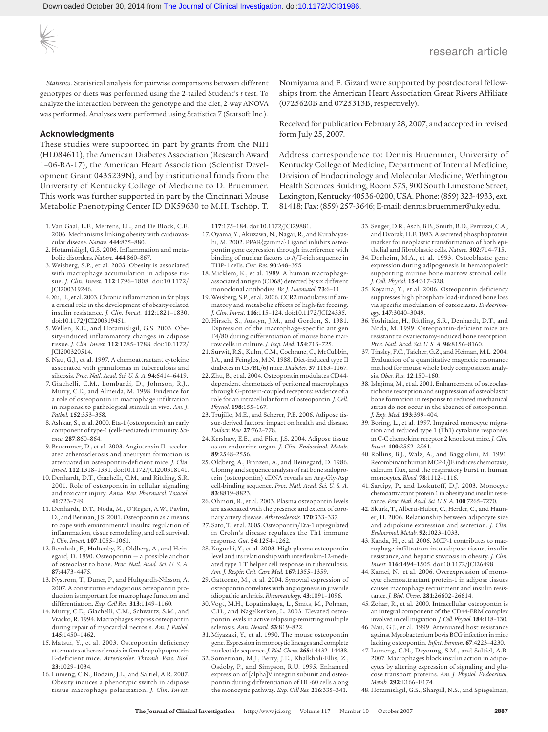*Statistics*. Statistical analysis for pairwise comparisons between different genotypes or diets was performed using the 2-tailed Student's *t* test. To analyze the interaction between the genotype and the diet, 2-way ANOVA was performed. Analyses were performed using Statistica 7 (Statsoft Inc.).

### **Acknowledgments**

These studies were supported in part by grants from the NIH (HL084611), the American Diabetes Association (Research Award 1–06-RA-17), the American Heart Association (Scientist Development Grant 0435239N), and by institutional funds from the University of Kentucky College of Medicine to D. Bruemmer. This work was further supported in part by the Cincinnati Mouse Metabolic Phenotyping Center ID DK59630 to M.H. Tschöp. T.

- 1. Van Gaal, L.F., Mertens, I.L., and De Block, C.E. 2006. Mechanisms linking obesity with cardiovascular disease. *Nature.* **444**:875–880.
- 2. Hotamisligil, G.S. 2006. Inflammation and metabolic disorders. *Nature.* **444**:860–867.
- 3. Weisberg, S.P., et al. 2003. Obesity is associated with macrophage accumulation in adipose tissue. *J. Clin. Invest.* **112**:1796–1808. doi:10.1172/ JCI200319246.
- 4. Xu,H., et al. 2003.Chronic inflammation in fat plays a crucial role in the development of obesity-related insulin resistance. *J. Clin. Invest.* **112**:1821–1830. doi:10.1172/JCI200319451.
- 5. Wellen, K.E., and Hotamisligil, G.S. 2003. Obesity-induced inflammatory changes in adipose tissue. *J. Clin. Invest.* **112**:1785–1788. doi:10.1172/ JCI200320514.
- 6. Nau, G.J., et al. 1997. A chemoattractant cytokine associated with granulomas in tuberculosis and silicosis. *Proc. Natl. Acad. Sci. U. S. A.* **94**:6414–6419.
- 7. Giachelli, C.M., Lombardi, D., Johnson, R.J., Murry, C.E., and Almeida, M. 1998. Evidence for a role of osteopontin in macrophage infiltration in response to pathological stimuli in vivo. *Am. J. Pathol.* **152**:353–358.
- 8. Ashkar, S., et al. 2000. Eta-1 (osteopontin): an early component of type-1 (cell-mediated) immunity. *Science.* **287**:860–864.
- 9. Bruemmer, D., et al. 2003. Angiotensin II–accelerated atherosclerosis and aneurysm formation is attenuated in osteopontin-deficient mice. *J. Clin. Invest.* **112**:1318–1331. doi:10.1172/JCI200318141.
- 10. Denhardt, D.T., Giachelli, C.M., and Rittling, S.R. 2001. Role of osteopontin in cellular signaling and toxicant injury. *Annu. Rev. Pharmacol. Toxicol.* **41**:723–749.
- 11. Denhardt, D.T., Noda, M., O'Regan, A.W., Pavlin, D., and Berman, J.S. 2001. Osteopontin as a means to cope with environmental insults: regulation of inflammation, tissue remodeling, and cell survival. *J. Clin. Invest.* **107**:1055–1061.
- 12. Reinholt, F., Hultenby, K., Oldberg, A., and Heinegard, D. 1990. Osteopontin — a possible anchor of osteoclast to bone. *Proc. Natl. Acad. Sci. U. S. A.* **87**:4473–4475.
- 13. Nystrom, T., Duner, P., and Hultgardh-Nilsson, A. 2007. A constitutive endogenous osteopontin production is important for macrophage function and differentiation. *Exp. Cell Res.* **313**:1149–1160.
- 14. Murry, C.E., Giachelli, C.M., Schwartz, S.M., and Vracko, R. 1994. Macrophages express osteopontin during repair of myocardial necrosis. *Am. J. Pathol.* **145**:1450–1462.
- 15. Matsui, Y., et al. 2003. Osteopontin deficiency attenuates atherosclerosisin female apolipoprotein E-deficient mice. *Arterioscler. Thromb. Vasc. Biol.* **23**:1029–1034.
- 16. Lumeng, C.N., Bodzin, J.L., and Saltiel, A.R. 2007. Obesity induces a phenotypic switch in adipose tissue macrophage polarization. *J. Clin. Invest.*

**117**:175–184. doi:10.1172/JCI29881.

- 17. Oyama, Y., Akuzawa, N., Nagai, R., and Kurabayashi, M. 2002. PPAR{gamma} Ligand inhibits osteopontin gene expression through interference with binding of nuclear factors to A/T-rich sequence in THP-1 cells. *Circ. Res.* **90**:348–355.
- 18. Micklem, K., et al. 1989. A human macrophageassociated antigen (CD68) detected by six different monoclonal antibodies. *Br. J. Haematol.* **73**:6–11.
- 19. Weisberg, S.P., et al. 2006. CCR2 modulatesinflammatory and metabolic effects of high-fat feeding. *J. Clin. Invest.* **116**:115–124. doi:10.1172/JCI24335.
- 20. Hirsch, S., Austyn, J.M., and Gordon, S. 1981. Expression of the macrophage-specific antigen F4/80 during differentiation of mouse bone marrow cells in culture. *J. Exp. Med.* **154**:713–725.
- 21. Surwit, R.S., Kuhn, C.M., Cochrane, C., McCubbin, J.A., and Feinglos, M.N. 1988. Diet-induced type II diabetes in C57BL/6J mice. *Diabetes.* **37**:1163–1167.
- 22. Zhu, B., et al. 2004. Osteopontin modulates CD44 dependent chemotaxis of peritoneal macrophages through G-protein-coupled receptors: evidence of a role for an intracellular form of osteopontin. *J. Cell. Physiol.* **198**:155–167.
- 23. Trujillo, M.E., and Scherer, P.E. 2006. Adipose tissue-derived factors: impact on health and disease. *Endocr. Rev.* **27**:762–778.
- 24. Kershaw, E.E., and Flier, J.S. 2004. Adipose tissue as an endocrine organ. *J. Clin. Endocrinol. Metab.* **89**:2548–2556.
- 25. Oldberg, A., Franzen, A., and Heinegard, D. 1986. Cloning and sequence analysis ofrat bone sialoprotein (osteopontin) cDNA reveals an Arg-Gly-Asp cell-binding sequence. *Proc. Natl. Acad. Sci. U. S. A.* **83**:8819–8823.
- 26. Ohmori, R., et al. 2003. Plasma osteopontin levels are associated with the presence and extent of coronary artery disease. *Atherosclerosis.* **170**:333–337.
- 27. Sato, T., et al. 2005. Osteopontin/Eta-1 upregulated in Crohn's disease regulates the Th1 immune response. *Gut.* **54**:1254–1262.
- 28. Koguchi, Y., et al. 2003. High plasma osteopontin level and its relationship with interleukin-12-mediated type 1 T helper cell response in tuberculosis. *Am. J. Respir. Crit. Care Med.* **167**:1355–1359.
- 29. Gattorno, M., et al. 2004. Synovial expression of osteopontin correlateswith angiogenesisin juvenile idiopathic arthritis. *Rheumatology.* **43**:1091–1096.
- 30. Vogt, M.H., Lopatinskaya, L., Smits, M., Polman, C.H., and Nagelkerken, L. 2003. Elevated osteopontin levels in active relapsing-remitting multiple sclerosis. *Ann. Neurol.* **53**:819–822.
- 31. Miyazaki, Y., et al. 1990. The mouse osteopontin gene. Expression in monocytic lineages and complete nucleotide sequence. *J. Biol. Chem.* **265**:14432–14438.
- 32. Somerman, M.J., Berry, J.E., Khalkhali-Ellis, Z., Osdoby, P., and Simpson, R.U. 1995. Enhanced expression of [alpha]V integrin subunit and osteopontin during differentiation of HL-60 cells along the monocytic pathway. *Exp. Cell Res.* **216**:335–341.

Nomiyama and F. Gizard were supported by postdoctoral fellowships from the American Heart Association Great Rivers Affiliate (0725620B and 0725313B, respectively).

Received for publication February 28, 2007, and accepted in revised form July 25, 2007.

Address correspondence to: Dennis Bruemmer, University of Kentucky College of Medicine, Department of Internal Medicine, Division of Endocrinology and Molecular Medicine, Wethington Health Sciences Building, Room 575, 900 South Limestone Street, Lexington, Kentucky 40536-0200, USA. Phone: (859) 323-4933, ext. 81418; Fax: (859) 257-3646; E-mail: dennis.bruemmer@uky.edu.

- 33. Senger, D.R., Asch, B.B., Smith, B.D., Perruzzi, C.A., and Dvorak, H.F. 1983. A secreted phosphoprotein marker for neoplastic transformation of both epithelial and fibroblastic cells. *Nature.* **302**:714–715.
- 34. Dorheim, M.A., et al. 1993. Osteoblastic gene expression during adipogenesis in hematopoietic supporting murine bone marrow stromal cells. *J. Cell. Physiol.* **154**:317–328.
- 35. Koyama, Y., et al. 2006. Osteopontin deficiency suppresses high phosphate load-induced bone loss via specific modulation of osteoclasts. *Endocrinology.* **147**:3040–3049.
- 36. Yoshitake, H., Rittling, S.R., Denhardt, D.T., and Noda, M. 1999. Osteopontin-deficient mice are resistant to ovariectomy-induced bone resorption. *Proc. Natl. Acad. Sci. U. S. A.* **96**:8156–8160.
- 37. Tinsley, F.C., Taicher, G.Z., and Heiman, M.L. 2004. Evaluation of a quantitative magnetic resonance method for mouse whole body composition analysis. *Obes. Res.* **12**:150–160.
- 38. Ishijima, M., et al. 2001. Enhancement of osteoclastic bone resorption and suppression of osteoblastic bone formation in response to reduced mechanical stress do not occur in the absence of osteopontin. *J. Exp. Med.* **193**:399–404.
- 39. Boring, L., et al. 1997. Impaired monocyte migration and reduced type 1 (Th1) cytokine responses in C-C chemokine receptor 2 knockout mice. *J. Clin. Invest.* **100**:2552–2561.
- 40. Rollins, B.J., Walz, A., and Baggiolini, M. 1991. Recombinant human MCP-1/JE induces chemotaxis, calcium flux, and the respiratory burst in human monocytes. *Blood.* **78**:1112–1116.
- 41. Sartipy, P., and Loskutoff, D.J. 2003. Monocyte chemoattractant protein 1 in obesity and insulin resistance. *Proc. Natl. Acad. Sci. U. S. A.* **100**:7265–7270.
- 42. Skurk, T., Alberti-Huber, C., Herder, C., and Hauner, H. 2006. Relationship between adipocyte size and adipokine expression and secretion. *J. Clin. Endocrinol. Metab.* **92**:1023–1033.
- 43. Kanda, H., et al. 2006. MCP-1 contributes to macrophage infiltration into adipose tissue, insulin resistance, and hepatic steatosis in obesity. *J. Clin. Invest.* **116**:1494–1505. doi:10.1172/JCI26498.
- 44. Kamei, N., et al. 2006. Overexpression of monocyte chemoattractant protein-1 in adipose tissues causes macrophage recruitment and insulin resistance. *J. Biol. Chem.* **281**:26602–26614.
- 45. Zohar, R., et al. 2000. Intracellular osteopontin is an integral component of the CD44-ERM complex involved in cell migration.*J. Cell. Physiol.* **184**:118–130.
- 46. Nau, G.J., et al. 1999. Attenuated host resistance against Mycobacterium bovis BCG infection in mice lacking osteopontin. *Infect. Immun.* **67**:4223–4230.
- 47. Lumeng, C.N., Deyoung, S.M., and Saltiel, A.R. 2007. Macrophages block insulin action in adipocytes by altering expression of signaling and glucose transport proteins. *Am. J. Physiol. Endocrinol. Metab.* **292**:E166–E174.
- 48. Hotamisligil, G.S., Shargill, N.S., and Spiegelman,